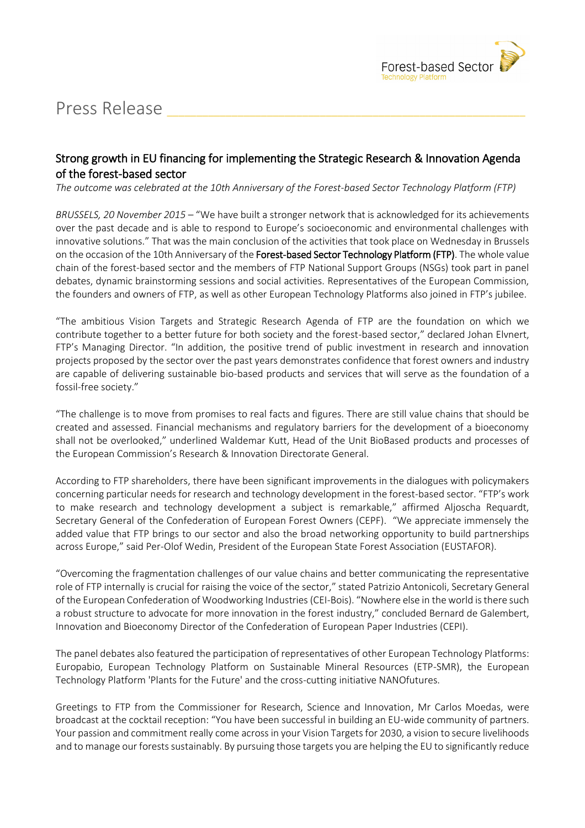

## Press Release

## Strong growth in EU financing for implementing the Strategic Research & Innovation Agenda of the forest-based sector

*The outcome was celebrated at the 10th Anniversary of the Forest-based Sector Technology Platform (FTP)* 

*BRUSSELS, 20 November 2015* – "We have built a stronger network that is acknowledged for its achievements over the past decade and is able to respond to Europe's socioeconomic and environmental challenges with innovative solutions." That was the main conclusion of the activities that took place on Wednesday in Brussels on the occasion of the 10th Anniversary of the Forest-based Sector Technology Platform (FTP). The whole value chain of the forest-based sector and the members of FTP National Support Groups (NSGs) took part in panel debates, dynamic brainstorming sessions and social activities. Representatives of the European Commission, the founders and owners of FTP, as well as other European Technology Platforms also joined in FTP's jubilee.

"The ambitious Vision Targets and Strategic Research Agenda of FTP are the foundation on which we contribute together to a better future for both society and the forest-based sector," declared Johan Elvnert, FTP's Managing Director. "In addition, the positive trend of public investment in research and innovation projects proposed by the sector over the past years demonstrates confidence that forest owners and industry are capable of delivering sustainable bio-based products and services that will serve as the foundation of a fossil-free society."

"The challenge is to move from promises to real facts and figures. There are still value chains that should be created and assessed. Financial mechanisms and regulatory barriers for the development of a bioeconomy shall not be overlooked," underlined Waldemar Kutt, Head of the Unit BioBased products and processes of the European Commission's Research & Innovation Directorate General.

According to FTP shareholders, there have been significant improvements in the dialogues with policymakers concerning particular needs for research and technology development in the forest-based sector. "FTP's work to make research and technology development a subject is remarkable," affirmed Aljoscha Requardt, Secretary General of the Confederation of European Forest Owners (CEPF). "We appreciate immensely the added value that FTP brings to our sector and also the broad networking opportunity to build partnerships across Europe," said Per-Olof Wedin, President of the European State Forest Association (EUSTAFOR).

"Overcoming the fragmentation challenges of our value chains and better communicating the representative role of FTP internally is crucial for raising the voice of the sector," stated Patrizio Antonicoli, Secretary General of the European Confederation of Woodworking Industries (CEI-Bois). "Nowhere else in the world is there such a robust structure to advocate for more innovation in the forest industry," concluded Bernard de Galembert, Innovation and Bioeconomy Director of the Confederation of European Paper Industries (CEPI).

The panel debates also featured the participation of representatives of other European Technology Platforms: Europabio, European Technology Platform on Sustainable Mineral Resources (ETP-SMR), the European Technology Platform 'Plants for the Future' and the cross-cutting initiative NANOfutures.

Greetings to FTP from the Commissioner for Research, Science and Innovation, Mr Carlos Moedas, were broadcast at the cocktail reception: "You have been successful in building an EU-wide community of partners. Your passion and commitment really come across in your Vision Targets for 2030, a vision to secure livelihoods and to manage our forests sustainably. By pursuing those targets you are helping the EU to significantly reduce